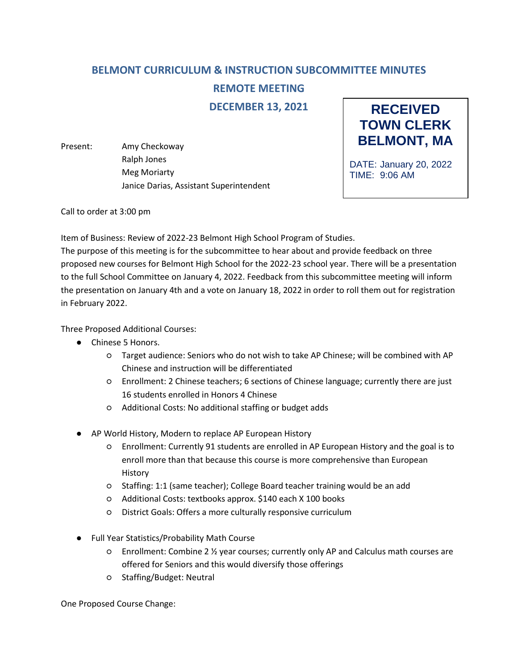## **BELMONT CURRICULUM & INSTRUCTION SUBCOMMITTEE MINUTES**

**REMOTE MEETING**

**DECEMBER 13, 2021**

Present: Amy Checkoway Ralph Jones Meg Moriarty Janice Darias, Assistant Superintendent



DATE: January 20, 2022 TIME: 9:06 AM

Call to order at 3:00 pm

Item of Business: Review of 2022-23 Belmont High School Program of Studies.

The purpose of this meeting is for the subcommittee to hear about and provide feedback on three proposed new courses for Belmont High School for the 2022-23 school year. There will be a presentation to the full School Committee on January 4, 2022. Feedback from this subcommittee meeting will inform the presentation on January 4th and a vote on January 18, 2022 in order to roll them out for registration in February 2022.

Three Proposed Additional Courses:

- Chinese 5 Honors.
	- Target audience: Seniors who do not wish to take AP Chinese; will be combined with AP Chinese and instruction will be differentiated
	- Enrollment: 2 Chinese teachers; 6 sections of Chinese language; currently there are just 16 students enrolled in Honors 4 Chinese
	- Additional Costs: No additional staffing or budget adds
- AP World History, Modern to replace AP European History
	- Enrollment: Currently 91 students are enrolled in AP European History and the goal is to enroll more than that because this course is more comprehensive than European History
	- Staffing: 1:1 (same teacher); College Board teacher training would be an add
	- Additional Costs: textbooks approx. \$140 each X 100 books
	- District Goals: Offers a more culturally responsive curriculum
- Full Year Statistics/Probability Math Course
	- Enrollment: Combine 2 ½ year courses; currently only AP and Calculus math courses are offered for Seniors and this would diversify those offerings
	- Staffing/Budget: Neutral

One Proposed Course Change: